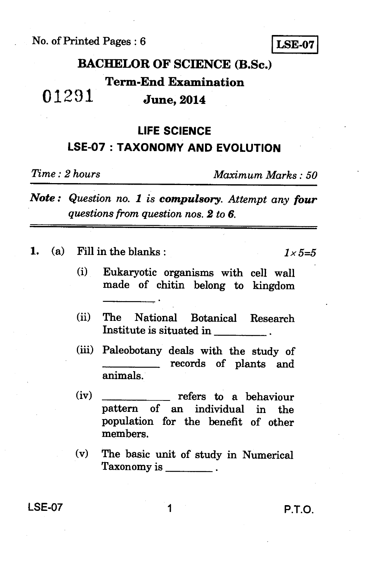No. of Printed Pages : 6 **LSE-07** 

# **BACHELOR OF SCIENCE (B.Sc.)**

## **Term-End Examination**

## 01291 **June, 2014**

## **LIFE SCIENCE LSE-07 : TAXONOMY AND EVOLUTION**

*Time : 2 hours Maximum Marks : 50* 

*Note : Question no. 1 is compulsory. Attempt any four questions from question nos. 2 to 6.* 

**1.** (a) Fill in the blanks :  $1 \times 5=5$ 

- **(i) Eukaryotic organisms with cell wall made of chitin belong to kingdom**
- **(ii) The National Botanical Research Institute is situated in**
- **(iii) Paleobotany deals with the study of records of plants and animals.**
- (iv) refers to a behaviour **pattern of an individual in the population for the benefit of other members.**
- **(v) The basic unit of study in Numerical Taxonomy is**

**LSE-07 1 P.T.O.**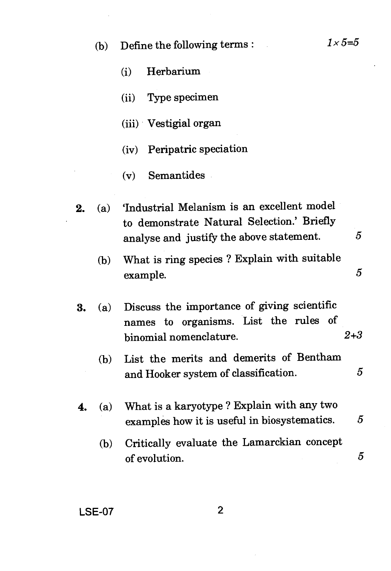(b) Define the following terms :  $1 \times 5=5$ 

(i) Herbarium

(ii) Type specimen

(iii) Vestigial organ

(iv) Peripatric speciation

(v) Semantides

- 2. (a) 'Industrial Melanism is an excellent model to demonstrate Natural Selection.' Briefly analyse and justify the above statement. 5
	- (b) What is ring species ? Explain with suitable example. 5
- 3. (a) Discuss the importance of giving scientific names to organisms. List the rules of binomial nomenclature. *2+3* 
	- (b) List the merits and demerits of Bentham and Hooker system of classification. 5
- 4. (a) What is a karyotype ? Explain with any two examples how it is useful in biosystematics. *5* 
	- (b) Critically evaluate the Lamarckian concept of evolution.  $5$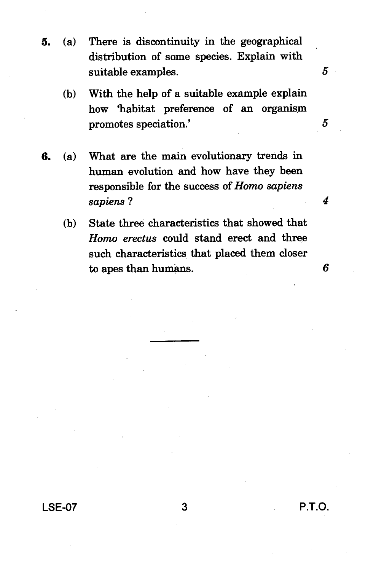- **5. (a) There is discontinuity in the geographical distribution of some species. Explain with suitable examples. 5** 
	- **(b) With the help of a suitable example explain how 'habitat preference of an organism promotes speciation.' 5**
- **6. (a) What are the main evolutionary trends in human evolution and how have they been responsible for the success of** *Homo sapiens sapiens ?* 
	- **(b) State three characteristics that showed that**  *Homo erectus* **could stand erect and three such characteristics that placed them closer to apes than humans.**

6

**4** 

**LSE-07 3 P.T.O.**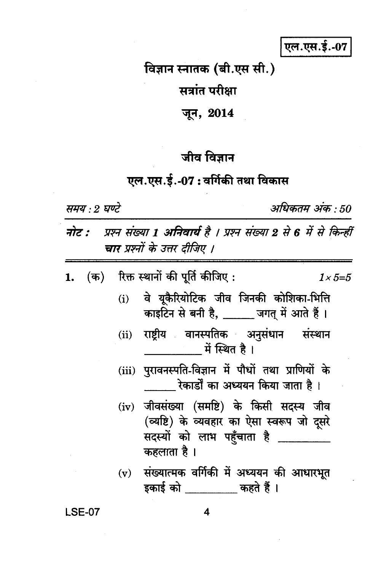एल.एस.ई.-07

विज्ञान स्नातक (बी.एस सी.)

सत्रांत परीक्षा

जून, 2014

## जीव विज्ञान

### एल.एस.ई.-07: वर्गिकी तथा विकास

समय : २ घण्टे

अधिकतम् अंक : 50

प्रश्न संख्या 1 अनिवार्य है । प्रश्न संख्या 2 से 6 में से किन्हीं नोट : चार प्रश्नों के उत्तर टीजिए ।

(क) रिक्त स्थानों की पूर्ति कीजिए : 1.  $1 \times 5 = 5$ 

- वे यूकैरियोटिक जीव जिनकी कोशिका-भित्ति  $(i)$ काइटिन से बनी है, \_\_\_\_\_ जगत में आते हैं।
- राष्ट्रीय वानस्पतिक अनुसंधान संस्थान  $(ii)$ में स्थित है ।
- (iii) पुरावनस्पति-विज्ञान में पौधों तथा प्राणियों के रेकार्डों का अध्ययन किया जाता है।
- (iv) जीवसंख्या (समष्टि) के किसी सदस्य जीव (व्यष्टि) के व्यवहार का ऐसा स्वरूप जो दूसरे सदस्यों को लाभ पहुँचाता है कहलाता है।
- (v) संख्यात्मक वर्गिकी में अध्ययन की आधारभूत डकार्ड को बाहते हैं ।

**LSE-07** 

4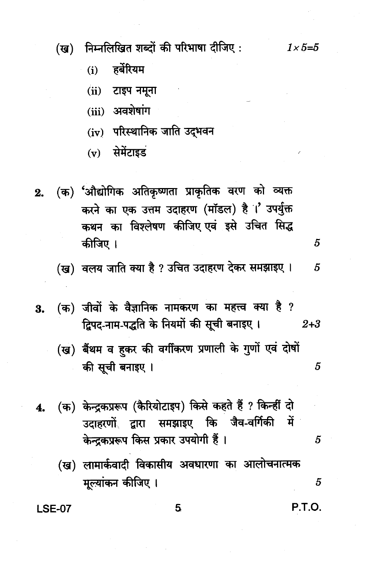निम्नलिखित शब्दों की परिभाषा दीजिए : (ख)

> हर्बरियम  $(i)$

 $(ii)$  टाइप नमूना

- (iii) अवशेषांग
- (iv) परिस्थानिक जाति उद्भवन
- $(v)$  सेमेंटाइड
- (क) 'औद्योगिक अतिकृष्णता प्राकृतिक वरण को व्यक्त  $2.$ करने का एक उत्तम उदाहरण (मॉडल) है ।' उपर्युक्त कथन का विश्लेषण कीजिए एवं इसे उचित सिद्ध कीजिए ।
	- (ख) वलय जाति क्या है ? उचित उदाहरण देकर समझाइए । 5
- (क) जीवों के वैज्ञानिक नामकरण का महत्त्व क्या है ? 3. द्विपद-नाम-पद्धति के नियमों की सूची बनाइए।  $2 + 3$ 
	- (ख) बैंथम व हकर की वर्गीकरण प्रणाली के गुणों एवं दोषों की सूची बनाइए । 5
- (क) केन्द्रकप्ररूप (कैरियोटाइप) किसे कहते हैं ? किन्हीं दो 4. उदाहरणों द्वारा समझाइए कि जैव-वर्गिकी में केन्द्रकप्ररूप किस प्रकार उपयोगी हैं।
	- (ख) लामार्कवादी विकासीय अवधारणा का आलोचनात्मक मूल्यांकन कीजिए ।

5

**LSE-07** 

 $1 \times 5 = 5$ 

5

P.T.O.

 $\overline{5}$ 

5